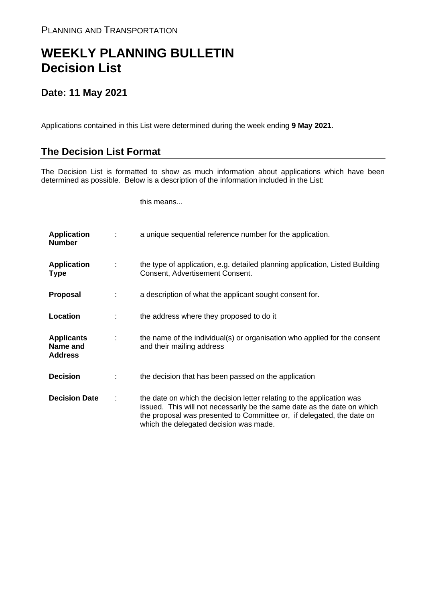## **WEEKLY PLANNING BULLETIN Decision List**

## **Date: 11 May 2021**

Applications contained in this List were determined during the week ending **9 May 2021**.

## **The Decision List Format**

The Decision List is formatted to show as much information about applications which have been determined as possible. Below is a description of the information included in the List:

this means...

| <b>Application</b><br><b>Number</b>             | a unique sequential reference number for the application.                                                                                                                                                                                                           |
|-------------------------------------------------|---------------------------------------------------------------------------------------------------------------------------------------------------------------------------------------------------------------------------------------------------------------------|
| <b>Application</b><br><b>Type</b>               | the type of application, e.g. detailed planning application, Listed Building<br>Consent, Advertisement Consent.                                                                                                                                                     |
| <b>Proposal</b>                                 | a description of what the applicant sought consent for.                                                                                                                                                                                                             |
| Location                                        | the address where they proposed to do it                                                                                                                                                                                                                            |
| <b>Applicants</b><br>Name and<br><b>Address</b> | the name of the individual(s) or organisation who applied for the consent<br>and their mailing address                                                                                                                                                              |
| <b>Decision</b>                                 | the decision that has been passed on the application                                                                                                                                                                                                                |
| <b>Decision Date</b>                            | the date on which the decision letter relating to the application was<br>issued. This will not necessarily be the same date as the date on which<br>the proposal was presented to Committee or, if delegated, the date on<br>which the delegated decision was made. |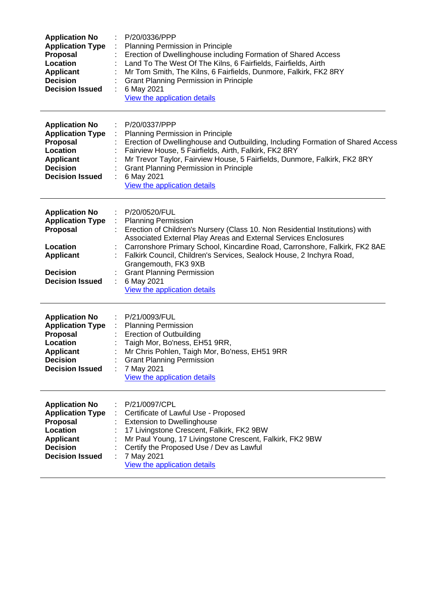| <b>Application No</b><br><b>Application Type</b><br>Proposal<br>Location<br><b>Applicant</b><br><b>Decision</b><br><b>Decision Issued</b>        | P/20/0336/PPP<br>Planning Permission in Principle<br>Erection of Dwellinghouse including Formation of Shared Access<br>Land To The West Of The Kilns, 6 Fairfields, Fairfields, Airth<br>Mr Tom Smith, The Kilns, 6 Fairfields, Dunmore, Falkirk, FK2 8RY<br><b>Grant Planning Permission in Principle</b><br>6 May 2021<br>View the application details                                                                                                                                                 |
|--------------------------------------------------------------------------------------------------------------------------------------------------|----------------------------------------------------------------------------------------------------------------------------------------------------------------------------------------------------------------------------------------------------------------------------------------------------------------------------------------------------------------------------------------------------------------------------------------------------------------------------------------------------------|
| <b>Application No</b><br><b>Application Type</b><br>Proposal<br><b>Location</b><br><b>Applicant</b><br><b>Decision</b><br><b>Decision Issued</b> | P/20/0337/PPP<br>Planning Permission in Principle<br>Erection of Dwellinghouse and Outbuilding, Including Formation of Shared Access<br>Fairview House, 5 Fairfields, Airth, Falkirk, FK2 8RY<br>Mr Trevor Taylor, Fairview House, 5 Fairfields, Dunmore, Falkirk, FK2 8RY<br><b>Grant Planning Permission in Principle</b><br>6 May 2021<br>View the application details                                                                                                                                |
| <b>Application No</b><br><b>Application Type</b><br>Proposal<br>Location<br><b>Applicant</b><br><b>Decision</b><br><b>Decision Issued</b>        | P/20/0520/FUL<br>$\mathcal{L}_{\mathcal{A}}$<br>÷.<br><b>Planning Permission</b><br>Erection of Children's Nursery (Class 10. Non Residential Institutions) with<br>Associated External Play Areas and External Services Enclosures<br>Carronshore Primary School, Kincardine Road, Carronshore, Falkirk, FK2 8AE<br>Falkirk Council, Children's Services, Sealock House, 2 Inchyra Road,<br>Grangemouth, FK3 9XB<br><b>Grant Planning Permission</b><br>6 May 2021<br>÷<br>View the application details |
| <b>Application No</b><br><b>Application Type</b><br>Proposal<br>Location<br><b>Applicant</b><br><b>Decision</b><br><b>Decision Issued</b>        | P/21/0093/FUL<br><b>Planning Permission</b><br><b>Erection of Outbuilding</b><br>Taigh Mor, Bo'ness, EH51 9RR,<br>Mr Chris Pohlen, Taigh Mor, Bo'ness, EH51 9RR<br><b>Grant Planning Permission</b><br>7 May 2021<br>View the application details                                                                                                                                                                                                                                                        |
| <b>Application No</b><br><b>Application Type</b><br><b>Proposal</b><br>Location<br><b>Applicant</b><br><b>Decision</b><br><b>Decision Issued</b> | P/21/0097/CPL<br>Certificate of Lawful Use - Proposed<br><b>Extension to Dwellinghouse</b><br>17 Livingstone Crescent, Falkirk, FK2 9BW<br>Mr Paul Young, 17 Livingstone Crescent, Falkirk, FK2 9BW<br>Certify the Proposed Use / Dev as Lawful<br>7 May 2021<br>View the application details                                                                                                                                                                                                            |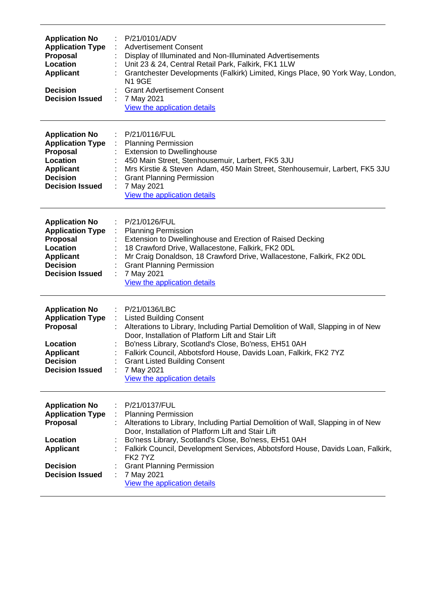| <b>Application No</b><br><b>Application Type</b><br>Proposal<br>Location<br><b>Applicant</b><br><b>Decision</b><br><b>Decision Issued</b>        | P/21/0101/ADV<br>$\mathcal{L}_{\mathcal{A}}$<br><b>Advertisement Consent</b><br>Display of Illuminated and Non-Illuminated Advertisements<br>Unit 23 & 24, Central Retail Park, Falkirk, FK1 1LW<br>Grantchester Developments (Falkirk) Limited, Kings Place, 90 York Way, London,<br><b>N19GE</b><br><b>Grant Advertisement Consent</b><br>7 May 2021<br>÷<br>View the application details                                                  |
|--------------------------------------------------------------------------------------------------------------------------------------------------|----------------------------------------------------------------------------------------------------------------------------------------------------------------------------------------------------------------------------------------------------------------------------------------------------------------------------------------------------------------------------------------------------------------------------------------------|
| <b>Application No</b><br><b>Application Type</b><br>Proposal<br>Location<br><b>Applicant</b><br><b>Decision</b><br><b>Decision Issued</b>        | : P/21/0116/FUL<br>: Planning Permission<br><b>Extension to Dwellinghouse</b><br>450 Main Street, Stenhousemuir, Larbert, FK5 3JU<br>Mrs Kirstie & Steven Adam, 450 Main Street, Stenhousemuir, Larbert, FK5 3JU<br><b>Grant Planning Permission</b><br>7 May 2021<br>View the application details                                                                                                                                           |
| <b>Application No</b><br><b>Application Type</b><br><b>Proposal</b><br>Location<br>Applicant<br><b>Decision</b><br><b>Decision Issued</b>        | P/21/0126/FUL<br>÷<br><b>Planning Permission</b><br>$\mathcal{L}_{\mathcal{A}}$<br>Extension to Dwellinghouse and Erection of Raised Decking<br>18 Crawford Drive, Wallacestone, Falkirk, FK2 0DL<br>Mr Craig Donaldson, 18 Crawford Drive, Wallacestone, Falkirk, FK2 0DL<br><b>Grant Planning Permission</b><br>7 May 2021<br>$\mathbb{R}^2$<br>View the application details                                                               |
| <b>Application No</b><br><b>Application Type</b><br>Proposal<br>Location<br><b>Applicant</b><br><b>Decision</b><br><b>Decision Issued</b>        | : P/21/0136/LBC<br>: Listed Building Consent<br>Alterations to Library, Including Partial Demolition of Wall, Slapping in of New<br>Door, Installation of Platform Lift and Stair Lift<br>Bo'ness Library, Scotland's Close, Bo'ness, EH51 0AH<br>Falkirk Council, Abbotsford House, Davids Loan, Falkirk, FK2 7YZ<br><b>Grant Listed Building Consent</b><br>7 May 2021<br>View the application details                                     |
| <b>Application No</b><br><b>Application Type</b><br><b>Proposal</b><br>Location<br><b>Applicant</b><br><b>Decision</b><br><b>Decision Issued</b> | P/21/0137/FUL<br><b>Planning Permission</b><br>÷<br>Alterations to Library, Including Partial Demolition of Wall, Slapping in of New<br>Door, Installation of Platform Lift and Stair Lift<br>Bo'ness Library, Scotland's Close, Bo'ness, EH51 0AH<br>Falkirk Council, Development Services, Abbotsford House, Davids Loan, Falkirk,<br><b>FK27YZ</b><br><b>Grant Planning Permission</b><br>7 May 2021<br>÷<br>View the application details |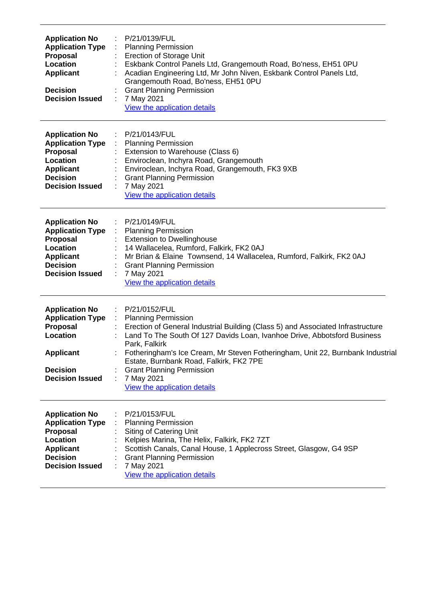| <b>Application No</b><br><b>Application Type</b><br><b>Proposal</b><br>Location<br><b>Applicant</b><br><b>Decision</b><br><b>Decision Issued</b> | P/21/0139/FUL<br><b>Planning Permission</b><br><b>Erection of Storage Unit</b><br>Eskbank Control Panels Ltd, Grangemouth Road, Bo'ness, EH51 0PU<br>Acadian Engineering Ltd, Mr John Niven, Eskbank Control Panels Ltd,<br>Grangemouth Road, Bo'ness, EH51 0PU<br><b>Grant Planning Permission</b><br>7 May 2021<br>View the application details                                                                                                           |
|--------------------------------------------------------------------------------------------------------------------------------------------------|-------------------------------------------------------------------------------------------------------------------------------------------------------------------------------------------------------------------------------------------------------------------------------------------------------------------------------------------------------------------------------------------------------------------------------------------------------------|
| <b>Application No</b><br><b>Application Type</b><br>Proposal<br>Location<br><b>Applicant</b><br><b>Decision</b><br><b>Decision Issued</b>        | P/21/0143/FUL<br>÷<br><b>Planning Permission</b><br>Extension to Warehouse (Class 6)<br>Enviroclean, Inchyra Road, Grangemouth<br>Enviroclean, Inchyra Road, Grangemouth, FK3 9XB<br><b>Grant Planning Permission</b><br>7 May 2021<br>View the application details                                                                                                                                                                                         |
| <b>Application No</b><br><b>Application Type</b><br>Proposal<br>Location<br><b>Applicant</b><br><b>Decision</b><br><b>Decision Issued</b>        | P/21/0149/FUL<br><b>Planning Permission</b><br><b>Extension to Dwellinghouse</b><br>14 Wallacelea, Rumford, Falkirk, FK2 0AJ<br>Mr Brian & Elaine Townsend, 14 Wallacelea, Rumford, Falkirk, FK2 0AJ<br><b>Grant Planning Permission</b><br>7 May 2021<br>View the application details                                                                                                                                                                      |
| <b>Application No</b><br><b>Application Type</b><br><b>Proposal</b><br>Location<br><b>Applicant</b><br><b>Decision</b><br><b>Decision Issued</b> | P/21/0152/FUL<br>÷<br><b>Planning Permission</b><br>- 1<br>Erection of General Industrial Building (Class 5) and Associated Infrastructure<br>Land To The South Of 127 Davids Loan, Ivanhoe Drive, Abbotsford Business<br>Park, Falkirk<br>Fotheringham's Ice Cream, Mr Steven Fotheringham, Unit 22, Burnbank Industrial<br>Estate, Burnbank Road, Falkirk, FK2 7PE<br><b>Grant Planning Permission</b><br>7 May 2021<br>÷<br>View the application details |
| <b>Application No</b><br><b>Application Type</b><br><b>Proposal</b><br>Location<br><b>Applicant</b><br><b>Decision</b><br><b>Decision Issued</b> | P/21/0153/FUL<br><b>Planning Permission</b><br>Siting of Catering Unit<br>Kelpies Marina, The Helix, Falkirk, FK2 7ZT<br>Scottish Canals, Canal House, 1 Applecross Street, Glasgow, G4 9SP<br><b>Grant Planning Permission</b><br>7 May 2021<br>View the application details                                                                                                                                                                               |